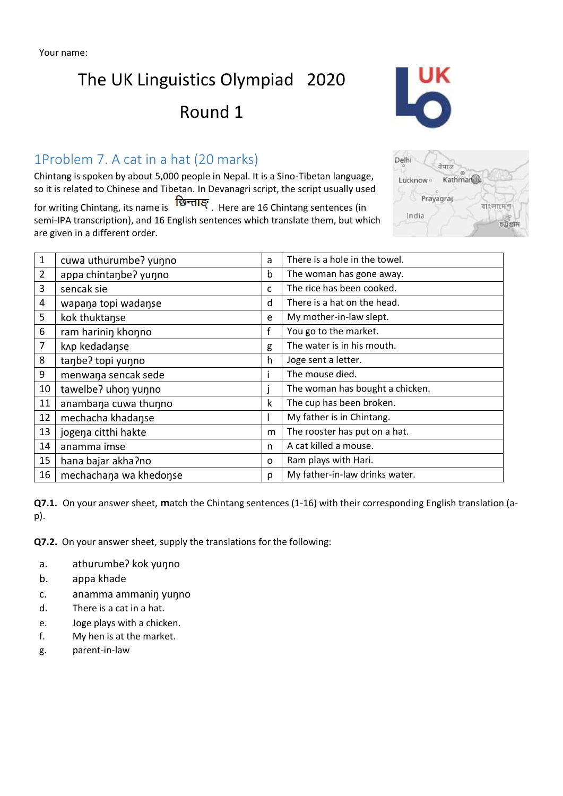# The UK Linguistics Olympiad 2020

## Round 1

### 1Problem 7. A cat in a hat (20 marks)

Chintang is spoken by about 5,000 people in Nepal. It is a Sino-Tibetan language, so it is related to Chinese and Tibetan. In Devanagri script, the script usually used

for writing Chintang, its name is  $\overline{\mathbf{B}}$ न्ताङ्. Here are 16 Chintang sentences (in semi-IPA transcription), and 16 English sentences which translate them, but which are given in a different order.

| $\mathbf{1}$ | cuwa uthurumbe? yunno  | a | There is a hole in the towel.   |  |  |  |
|--------------|------------------------|---|---------------------------------|--|--|--|
| 2            | appa chintanbe? yunno  | b | The woman has gone away.        |  |  |  |
| 3            | sencak sie             | c | The rice has been cooked.       |  |  |  |
| 4            | wapana topi wadanse    | d | There is a hat on the head.     |  |  |  |
| 5            | kok thuktanse          | e | My mother-in-law slept.         |  |  |  |
| 6            | ram harinin khonno     | f | You go to the market.           |  |  |  |
| 7            | knp kedadanse          | g | The water is in his mouth.      |  |  |  |
| 8            | tanbe? topi yunno      | h | Joge sent a letter.             |  |  |  |
| 9            | menwana sencak sede    |   | The mouse died.                 |  |  |  |
| 10           | tawelbe? uhon yunno    |   | The woman has bought a chicken. |  |  |  |
| 11           | anambana cuwa thunno   | k | The cup has been broken.        |  |  |  |
| 12           | mechacha khadanse      |   | My father is in Chintang.       |  |  |  |
| 13           | jogena citthi hakte    | m | The rooster has put on a hat.   |  |  |  |
| 14           | anamma imse            | n | A cat killed a mouse.           |  |  |  |
| 15           | hana bajar akha?no     | 0 | Ram plays with Hari.            |  |  |  |
| 16           | mechachana wa khedonse | p | My father-in-law drinks water.  |  |  |  |

**Q7.1.** On your answer sheet, **m**atch the Chintang sentences (1-16) with their corresponding English translation (ap).

**Q7.2.** On your answer sheet, supply the translations for the following:

- a. athurumbeʔ kok yuŋno
- b. appa khade
- c. anamma ammaniŋ yuŋno
- d. There is a cat in a hat.
- e. Joge plays with a chicken.
- f. My hen is at the market.
- g. parent-in-law